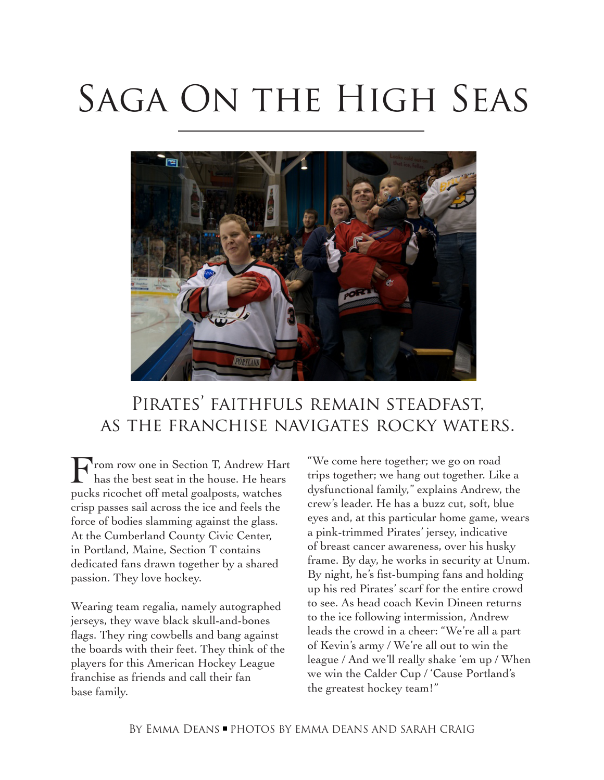# SAGA ON THE HIGH SEAS



## Pirates' faithfuls remain steadfast, as the franchise navigates rocky waters.

From row one in Section T, Andrew Hart has the best seat in the house. He hears pucks ricochet off metal goalposts, watches crisp passes sail across the ice and feels the force of bodies slamming against the glass. At the Cumberland County Civic Center, in Portland, Maine, Section T contains dedicated fans drawn together by a shared passion. They love hockey.

Wearing team regalia, namely autographed jerseys, they wave black skull-and-bones flags. They ring cowbells and bang against the boards with their feet. They think of the players for this American Hockey League franchise as friends and call their fan base family.

"We come here together; we go on road trips together; we hang out together. Like a dysfunctional family," explains Andrew, the crew's leader. He has a buzz cut, soft, blue eyes and, at this particular home game, wears a pink-trimmed Pirates' jersey, indicative of breast cancer awareness, over his husky frame. By day, he works in security at Unum. By night, he's fist-bumping fans and holding up his red Pirates' scarf for the entire crowd to see. As head coach Kevin Dineen returns to the ice following intermission, Andrew leads the crowd in a cheer: "We're all a part of Kevin's army / We're all out to win the league / And we'll really shake 'em up / When we win the Calder Cup / 'Cause Portland's the greatest hockey team!"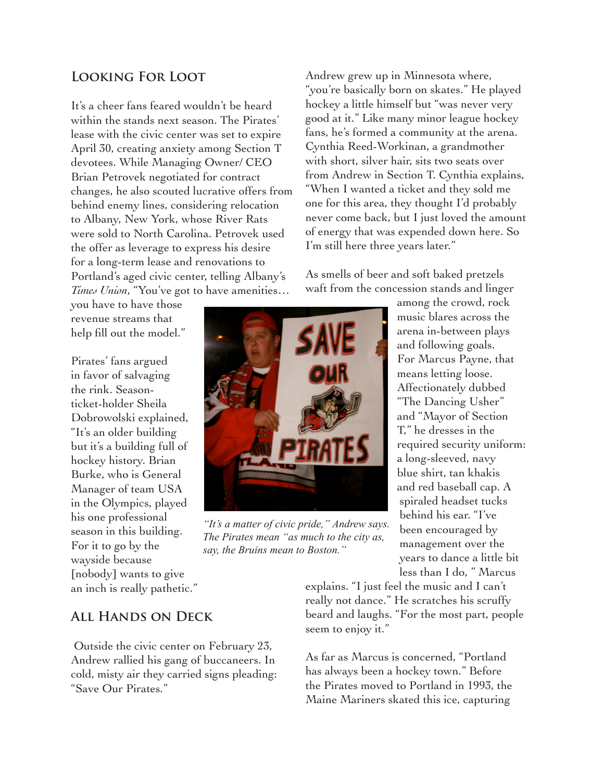## **Looking For Loot**

It's a cheer fans feared wouldn't be heard within the stands next season. The Pirates' lease with the civic center was set to expire April 30, creating anxiety among Section T devotees. While Managing Owner/ CEO Brian Petrovek negotiated for contract changes, he also scouted lucrative offers from behind enemy lines, considering relocation to Albany, New York, whose River Rats were sold to North Carolina. Petrovek used the offer as leverage to express his desire for a long-term lease and renovations to Portland's aged civic center, telling Albany's *Times Union*, "You've got to have amenities…

you have to have those revenue streams that help fill out the model."

Pirates' fans argued in favor of salvaging the rink. Seasonticket-holder Sheila Dobrowolski explained, "It's an older building but it's a building full of hockey history. Brian Burke, who is General Manager of team USA in the Olympics, played his one professional season in this building. For it to go by the wayside because [nobody] wants to give an inch is really pathetic."

## with short, silver hair, sits two seats over from Andrew in Section T. Cynthia explains, "When I wanted a ticket and they sold me one for this area, they thought I'd probably never come back, but I just loved the amount of energy that was expended down here. So I'm still here three years later." As smells of beer and soft baked pretzels waft from the concession stands and linger

Andrew grew up in Minnesota where,

"you're basically born on skates." He played hockey a little himself but "was never very good at it." Like many minor league hockey fans, he's formed a community at the arena. Cynthia Reed-Workinan, a grandmother



*"It's a matter of civic pride," Andrew says. The Pirates mean "as much to the city as, say, the Bruins mean to Boston."*

among the crowd, rock music blares across the arena in-between plays and following goals. For Marcus Payne, that means letting loose. Affectionately dubbed "The Dancing Usher" and "Mayor of Section T," he dresses in the required security uniform: a long-sleeved, navy blue shirt, tan khakis and red baseball cap. A spiraled headset tucks behind his ear. "I've been encouraged by management over the years to dance a little bit less than I do, " Marcus

explains. "I just feel the music and I can't really not dance." He scratches his scruffy beard and laughs. "For the most part, people seem to enjoy it."

As far as Marcus is concerned, "Portland has always been a hockey town." Before the Pirates moved to Portland in 1993, the Maine Mariners skated this ice, capturing

## **All Hands on Deck**

 Outside the civic center on February 23, Andrew rallied his gang of buccaneers. In cold, misty air they carried signs pleading: "Save Our Pirates."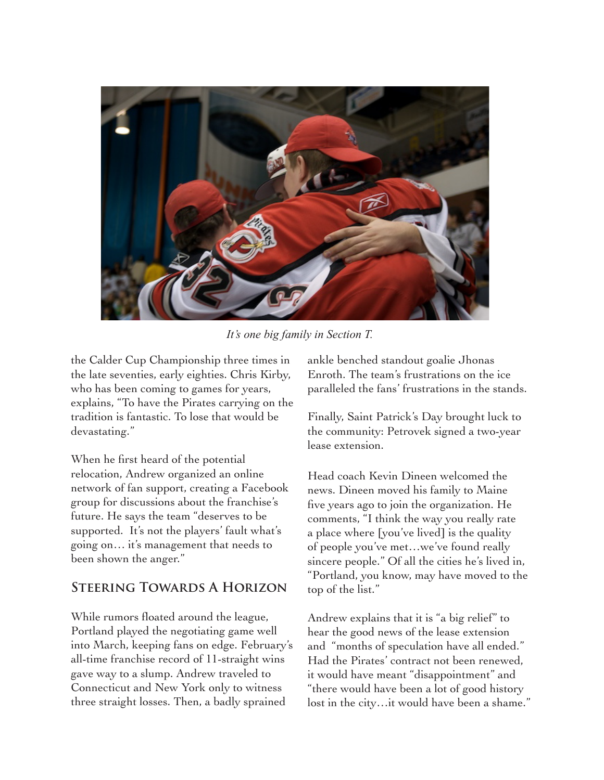

*It's one big family in Section T.*

the Calder Cup Championship three times in the late seventies, early eighties. Chris Kirby, who has been coming to games for years, explains, "To have the Pirates carrying on the tradition is fantastic. To lose that would be devastating."

When he first heard of the potential relocation, Andrew organized an online network of fan support, creating a Facebook group for discussions about the franchise's future. He says the team "deserves to be supported. It's not the players' fault what's going on… it's management that needs to been shown the anger."

### **Steering Towards A Horizon**

While rumors floated around the league, Portland played the negotiating game well into March, keeping fans on edge. February's all-time franchise record of 11-straight wins gave way to a slump. Andrew traveled to Connecticut and New York only to witness three straight losses. Then, a badly sprained

ankle benched standout goalie Jhonas Enroth. The team's frustrations on the ice paralleled the fans' frustrations in the stands.

Finally, Saint Patrick's Day brought luck to the community: Petrovek signed a two-year lease extension.

Head coach Kevin Dineen welcomed the news. Dineen moved his family to Maine five years ago to join the organization. He comments, "I think the way you really rate a place where [you've lived] is the quality of people you've met…we've found really sincere people." Of all the cities he's lived in, "Portland, you know, may have moved to the top of the list."

Andrew explains that it is "a big relief" to hear the good news of the lease extension and "months of speculation have all ended." Had the Pirates' contract not been renewed, it would have meant "disappointment" and "there would have been a lot of good history lost in the city…it would have been a shame."